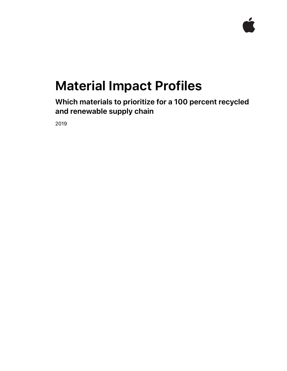

# **Material Impact Profiles**

**Which materials to prioritize for a 100 percent recycled and renewable supply chain** 

2019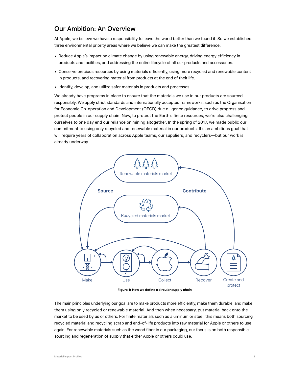# Our Ambition: An Overview

At Apple, we believe we have a responsibility to leave the world better than we found it. So we established three environmental priority areas where we believe we can make the greatest difference:

- Reduce Apple's impact on climate change by using renewable energy, driving energy efficiency in products and facilities, and addressing the entire lifecycle of all our products and accessories.
- Conserve precious resources by using materials efficiently, using more recycled and renewable content in products, and recovering material from products at the end of their life.
- Identify, develop, and utilize safer materials in products and processes.

We already have programs in place to ensure that the materials we use in our products are sourced responsibly. We apply strict standards and internationally accepted frameworks, such as the Organisation for Economic Co-operation and Development (OECD) due diligence guidance, to drive progress and protect people in our supply chain. Now, to protect the Earth's finite resources, we're also challenging ourselves to one day end our reliance on mining altogether. In the spring of 2017, we made public our commitment to using only recycled and renewable material in our products. It's an ambitious goal that will require years of collaboration across Apple teams, our suppliers, and recyclers—but our work is already underway.



**Figure 1: How we define a circular supply chain**

The main principles underlying our goal are to make products more efficiently, make them durable, and make them using only recycled or renewable material. And then when necessary, put material back onto the market to be used by us or others. For finite materials such as aluminum or steel, this means both sourcing recycled material and recycling scrap and end-of-life products into raw material for Apple or others to use again. For renewable materials such as the wood fiber in our packaging, our focus is on both responsible sourcing and regeneration of supply that either Apple or others could use.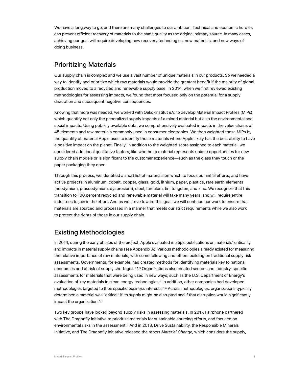We have a long way to go, and there are many challenges to our ambition. Technical and economic hurdles can prevent efficient recovery of materials to the same quality as the original primary source. In many cases, achieving our goal will require developing new recovery technologies, new materials, and new ways of doing business.

# Prioritizing Materials

Our supply chain is complex and we use a vast number of unique materials in our products. So we needed a way to identify and prioritize which raw materials would provide the greatest benefit if the majority of global production moved to a recycled and renewable supply base. In 2014, when we first reviewed existing methodologies for assessing impacts, we found that most focused only on the potential for a supply disruption and subsequent negative consequences.

Knowing that more was needed, we worked with Oeko-Institut e.V. to develop Material Impact Profiles (MIPs), which quantify not only the generalized supply impacts of a mined material but also the environmental and social impacts. Using publicly available data, we comprehensively evaluated impacts in the value chains of 45 elements and raw materials commonly used in consumer electronics. We then weighted these MIPs by the quantity of material Apple uses to identify those materials where Apple likely has the best ability to have a positive impact on the planet. Finally, in addition to the weighted score assigned to each material, we considered additional qualitative factors, like whether a material represents unique opportunities for new supply chain models or is significant to the customer experience—such as the glass they touch or the paper packaging they open.

Through this process, we identified a short list of materials on which to focus our initial efforts, and have active projects in aluminum, cobalt, copper, glass, gold, lithium, paper, plastics, rare earth elements (neodymium, praseodymium, dysprosium), steel, tantalum, tin, tungsten, and zinc. We recognize that this transition to 100 percent recycled and renewable material will take many years, and will require entire industries to join in the effort. And as we strive toward this goal, we will continue our work to ensure that materials are sourced and processed in a manner that meets our strict requirements while we also work to protect the rights of those in our supply chain.

# Existing Methodologies

<span id="page-2-2"></span><span id="page-2-1"></span><span id="page-2-0"></span>In 2014, during the early phases of the project, Apple evaluated multiple publications on materials' criticality and impacts in material supply chains (see [Appendix A\)](#page-11-0). Various methodologies already existed for measuring the relative importance of raw materials, with some following and others building on traditional supply risk assessments. Governments, for example, had created methods for identifying materials key to national economies and at risk of supply shortages.<sup>1,2,3</sup> [O](#page-17-0)rganizations also created sector- and industry-specific assessments for materials that were being used in new ways, such as the U.S. Department of Energy's evaluation of key materials in clean energy technologies.<sup>4</sup> [I](#page-17-0)n addition, other companies had developed methodologies targeted to their specific business interests.<sup>5[,](#page-17-6)6</sup>Across methodologies, organizations typically determined a material was "critical" if its supply might be disrupted and if that disruption would significantly impactthe organization. $7,8$  $7,8$  $7,8$ 

<span id="page-2-8"></span><span id="page-2-7"></span><span id="page-2-6"></span><span id="page-2-5"></span><span id="page-2-4"></span><span id="page-2-3"></span>Two key groups have looked beyond supply risks in assessing materials. In 2017, Fairphone partnered with The Dragonfly Initiative to prioritize materials for sustainable sourcing efforts, and focused on environmental risks in the assessment[.](#page-17-9)<sup>9</sup>And in 2018, Drive Sustainability, the Responsible Minerals Initiative, and The Dragonfly Initiative released the report *Material Change*, which considers the supply,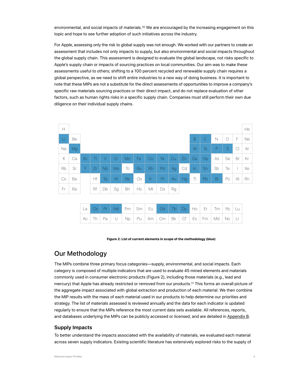<span id="page-3-0"></span>environmental, and social impacts of materials[.](#page-17-10)<sup>10</sup> [W](#page-17-0)e are encouraged by the increasing engagement on this topic and hope to see further adoption of such initiatives across the industry.

For Apple, assessing only the risk to global supply was not enough. We worked with our partners to create an assessment that includes not only impacts to supply, but also environmental and social impacts throughout the global supply chain. This assessment is designed to evaluate the global landscape, not risks specific to Apple's supply chain or impacts of sourcing practices on local communities. Our aim was to make these assessments useful to others; shifting to a 100 percent recycled and renewable supply chain requires a global perspective, as we need to shift entire industries to a new way of doing business. It is important to note that these MIPs are not a substitute for the direct assessments of opportunities to improve a company's specific raw materials sourcing practices or their direct impact, and do not replace evaluation of other factors, such as human rights risks in a specific supply chain. Companies must still perform their own due diligence on their individual supply chains.

| H  |    |           |    |           |    |           |           |           |    |    |           |              |               |    |         |                | He        |
|----|----|-----------|----|-----------|----|-----------|-----------|-----------|----|----|-----------|--------------|---------------|----|---------|----------------|-----------|
| Li | Be |           |    |           |    |           |           |           |    |    |           | B            | $\mathcal{C}$ | N  | $\circ$ | F              | <b>Ne</b> |
| Na | Mg |           |    |           |    |           |           |           |    |    |           | $\mathsf{A}$ | Si            | P  | S       | $\overline{C}$ | Ar        |
| Κ  | Ca | <b>Sc</b> | Τi | V         | Cr | Mn        | Fe        | Co        | Ni | Cu | Zn        | Ga           | Ge            | As | Se      | Br             | Кr        |
| Rb | Sr | Y         | Zr | <b>Nb</b> | Mo | Tc        | <b>Ru</b> | <b>Rh</b> | Pd | Ag | Cd        | $\ln$        | Sn            | Sb | Te      |                | Xe        |
| Cs | Ba |           | Ηf | Ta        | W  | <b>Re</b> | Os        | Ir.       | Pt | Au | <b>Hg</b> | TI           | Pb            | Bi | Po      | At             | Rn        |
| Fr | Ra |           | Rf | Db        | Sg | Bh        | <b>Hs</b> | Mt        | Ds | Rg |           |              |               |    |         |                |           |

|  |  |  | La Ce Pr Nd Pm Sm Eu Gd Tb Dy Ho Er Tm Yb Lu  |  |  |  |  |
|--|--|--|-----------------------------------------------|--|--|--|--|
|  |  |  | $AC$ Th Pa U Np Pu Am Cm Bk Cf Es Fm Md No Lr |  |  |  |  |

#### <span id="page-3-1"></span>**Figure 2: List of current elements in scope of the methodology (blue)**

# Our Methodology

The MIPs combine three primary focus categories—supply, environmental, and social impacts. Each category is composed of multiple indicators that are used to evaluate 45 mined elements and materials commonly used in consumer electronic products (Figure 2), including those materials (e.g., lead and mercury) that Apple has already restricted or removed from our products[.](#page-17-11)<sup>11</sup> [T](#page-17-0)his forms an overall picture of the aggregate impact associated with global extraction and production of each material. We then combine the MIP results with the mass of each material used in our products to help determine our priorities and strategy. The list of materials assessed is reviewed annually and the data for each indicator is updated regularly to ensure that the MIPs reference the most current data sets available. All references, reports, and databases underlying the MIPs can be publicly accessed or licensed, and are detailed in [Appendix B](#page-13-0).

### **Supply Impacts**

To better understand the impacts associated with the availability of materials, we evaluated each material across seven supply indicators. Existing scientific literature has extensively explored risks to the supply of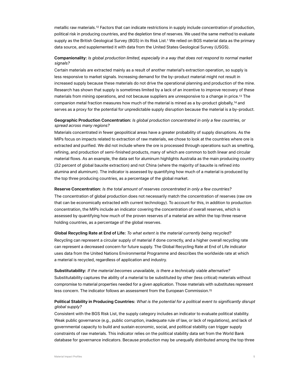<span id="page-4-0"></span>metallicraw materials.<sup>[12](#page-17-12)</sup> Factors that can indicate restrictions in supply include concentration of production, political risk in producing countries, and the depletion time of reserves. We used the same method to evaluate supply as the British Geological Survey (BGS) in its Risk List.[1](#page-17-0) We relied on BGS material data as the primary data source, and supplemented it with data from the United States Geological Survey (USGS).

## **Companionality:** *Is global production limited, especially in a way that does not respond to normal market signals?*

Certain materials are extracted mainly as a result of another material's extraction operation, so supply is less responsive to market signals. Increasing demand for the by-product material might not result in increased supply because these materials do not drive the operational planning and production of the mine. Research has shown that supply is sometimes limited by a lack of an incentive to improve recovery of these materials from mining operations, and not because suppliers are unresponsive to a change in price[.](#page-17-13)<sup>13</sup> [T](#page-17-0)he companionmetal fraction measures how much of the material is mined as a by-product globally,<sup>[14](#page-17-14)</sup> and serves as a proxy for the potential for unpredictable supply disruption because the material is a by-product.

## <span id="page-4-2"></span><span id="page-4-1"></span>**Geographic Production Concentration:** *Is global production concentrated in only a few countries, or spread across many regions?*

Materials concentrated in fewer geopolitical areas have a greater probability of supply disruptions. As the MIPs focus on impacts related to extraction of raw materials, we chose to look at the countries where ore is extracted and purified. We did not include where the ore is processed through operations such as smelting, refining, and production of semi-finished products, many of which are common to both linear and circular material flows. As an example, the data set for aluminum highlights Australia as the main producing country (32 percent of global bauxite extraction) and not China (where the majority of bauxite is refined into alumina and aluminum). The indicator is assessed by quantifying how much of a material is produced by the top three producing countries, as a percentage of the global market.

**Reserve Concentration:** *Is the total amount of reserves concentrated in only a few countries?* The concentration of global production does not necessarily match the concentration of reserves (raw ore that can be economically extracted with current technology). To account for this, in addition to production concentration, the MIPs include an indicator covering the concentration of overall reserves, which is assessed by quantifying how much of the proven reserves of a material are within the top three reserve holding countries, as a percentage of the global reserves.

**Global Recycling Rate at End of Life:** *To what extent is the material currently being recycled?* Recycling can represent a circular supply of material if done correctly, and a higher overall recycling rate can represent a decreased concern for future supply. The Global Recycling Rate at End of Life indicator uses data from the United Nations Environmental Programme and describes the worldwide rate at which a material is recycled, regardless of application and industry.

## **Substitutability:** *If the material becomes unavailable, is there a technically viable alternative?* Substitutability captures the ability of a material to be substituted by other (less critical) materials without compromise to material properties needed for a given application. Those materials with substitutes represent less concern. The indicator follows an assessment from the European Commission[.](#page-17-15)[15](#page-17-15)

## <span id="page-4-3"></span>**Political Stability in Producing Countries:** *What is the potential for a political event to significantly disrupt global supply?*

Consistent with the BGS Risk List, the supply category includes an indicator to evaluate political stability. Weak public governance (e.g., public corruption, inadequate rule of law, or lack of regulations), and lack of governmental capacity to build and sustain economic, social, and political stability can trigger supply constraints of raw materials. This indicator relies on the political stability data set from the World Bank database for governance indicators. Because production may be unequally distributed among the top three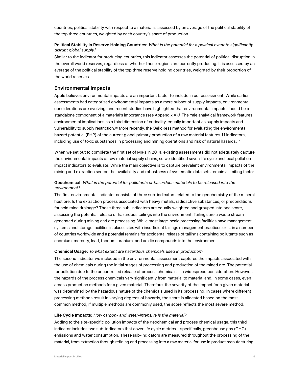countries, political stability with respect to a material is assessed by an average of the political stability of the top three countries, weighted by each country's share of production.

## **Political Stability in Reserve Holding Countries:** *What is the potential for a political event to significantly disrupt global supply?*

Similar to the indicator for producing countries, this indicator assesses the potential of political disruption in the overall world reserves, regardless of whether those regions are currently producing. It is assessed by an average of the political stability of the top three reserve holding countries, weighted by their proportion of the world reserves.

## **Environmental Impacts**

Apple believes environmental impacts are an important factor to include in our assessment. While earlier assessments had categorized environmental impacts as a mere subset of supply impacts, environmental considerations are evolving, and recent studies have highlighted that environmental impacts should be a standalone component of a material's importance (see [Appendix A](#page-11-0)).<sup>[8](#page-17-0)</sup> The Yale analytical framework features environmental implications as a third dimension of criticality, equally important as supply impacts and vulnerability to supply restriction.<sup>16</sup> More recently, the OekoRess method for evaluating the environmental hazard potential (EHP) of the current global primary production of a raw material features 11 indicators, including use of toxic substances in processing and mining operations and risk of natural hazards.[17](#page-17-17)

<span id="page-5-1"></span><span id="page-5-0"></span>When we set out to complete the first set of MIPs in 2014, existing assessments did not adequately capture the environmental impacts of raw material supply chains, so we identified seven life cycle and local pollution impact indicators to evaluate. While the main objective is to capture prevalent environmental impacts of the mining and extraction sector, the availability and robustness of systematic data sets remain a limiting factor.

### **Geochemical:** *What is the potential for pollutants or hazardous materials to be released into the environment?*

The first environmental indicator consists of three sub-indicators related to the geochemistry of the mineral host ore: Is the extraction process associated with heavy metals, radioactive substances, or preconditions for acid mine drainage? These three sub-indicators are equally weighted and grouped into one score, assessing the potential release of hazardous tailings into the environment. Tailings are a waste stream generated during mining and ore processing. While most large-scale processing facilities have management systems and storage facilities in place, sites with insufficient tailings management practices exist in a number of countries worldwide and a potential remains for accidental release of tailings containing pollutants such as cadmium, mercury, lead, thorium, uranium, and acidic compounds into the environment.

#### **Chemical Usage:** *To what extent are hazardous chemicals used in production?*

The second indicator we included in the environmental assessment captures the impacts associated with the use of chemicals during the initial stages of processing and production of the mined ore. The potential for pollution due to the uncontrolled release of process chemicals is a widespread consideration. However, the hazards of the process chemicals vary significantly from material to material and, in some cases, even across production methods for a given material. Therefore, the severity of the impact for a given material was determined by the hazardous nature of the chemicals used in its processing. In cases where different processing methods result in varying degrees of hazards, the score is allocated based on the most common method; if multiple methods are commonly used, the score reflects the most severe method.

#### **Life Cycle Impacts:** *How carbon- and water-intensive is the material?*

Adding to the site-specific pollution impacts of the geochemical and process chemical usage, this third indicator includes two sub-indicators that cover life cycle metrics—specifically, greenhouse gas (GHG) emissions and water consumption. These sub-indicators are measured throughout the processing of the material, from extraction through refining and processing into a raw material for use in product manufacturing.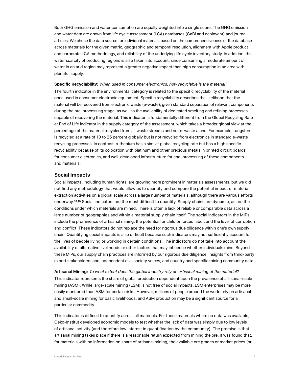Both GHG emission and water consumption are equally weighted into a single score. The GHG emission and water data are drawn from life cycle assessment (LCA) databases (GaBi and ecoinvent) and journal articles. We chose the data source for individual materials based on the comprehensiveness of the database across materials for the given metric, geographic and temporal resolution, alignment with Apple product and corporate LCA methodology, and reliability of the underlying life cycle inventory study. In addition, the water scarcity of producing regions is also taken into account, since consuming a moderate amount of water in an arid region may represent a greater negative impact than high consumption in an area with plentiful supply.

**Specific Recyclability:** *When used in consumer electronics, how recyclable is the material?* The fourth indicator in the environmental category is related to the specific recyclability of the material once used in consumer electronic equipment. Specific recyclability describes the likelihood that the material will be recovered from electronic waste (e-waste), given standard separation of relevant components during the pre-processing stage, as well as the availability of dedicated smelting and refining processes capable of recovering the material. This indicator is fundamentally different from the Global Recycling Rate at End of Life indicator in the supply category of the assessment, which takes a broader global view at the percentage of the material recycled from all waste streams and not e-waste alone. For example, tungsten is recycled at a rate of 10 to 25 percent globally but is not recycled from electronics in standard e-waste recycling processes. In contrast, ruthenium has a similar global recycling rate but has a high specific recyclability because of its colocation with platinum and other precious metals in printed circuit boards for consumer electronics, and well-developed infrastructure for end-processing of these components and materials.

## **Social Impacts**

<span id="page-6-1"></span><span id="page-6-0"></span>Social impacts, including human rights, are growing more prominent in materials assessments, but we did not find any methodology that would allow us to quantify and compare the potential impact of material extraction activities on a global scale across a large number of materials, although there are various efforts underway. 18,19 [S](#page-17-0)ocial indicators are the most difficult to quantify. Supply chains are dynamic, as are the conditions under which materials are mined. There is often a lack of reliable or comparable data across a large number of geographies and within a material supply chain itself. The social indicators in the MIPs include the prominence of artisanal mining, the potential for child or forced labor, and the level of corruption and conflict. These indicators do not replace the need for rigorous due diligence within one's own supply chain. Quantifying social impacts is also difficult because such indicators may not sufficiently account for the lives of people living or working in certain conditions. The indicators do not take into account the availability of alternative livelihoods or other factors that may influence whether individuals mine. Beyond these MIPs, our supply chain practices are informed by our rigorous due diligence, insights from third-party expert stakeholders and independent civil society voices, and country and specific mining community data.

**Artisanal Mining:** *To what extent does the global industry rely on artisanal mining of the material?* This indicator represents the share of global production dependent upon the prevalence of artisanal-scale mining (ASM). While large-scale mining (LSM) is not free of social impacts, LSM enterprises may be more easily monitored than ASM for certain risks. However, millions of people around the world rely on artisanal and small-scale mining for basic livelihoods, and ASM production may be a significant source for a particular commodity.

This indicator is difficult to quantify across all materials. For those materials where no data was available, Oeko-Institut developed economic models to test whether the lack of data was simply due to low levels of artisanal activity (and therefore low interest in quantification by the community). The premise is that artisanal mining takes place if there is a reasonable return expected from mining the ore. It was found that, for materials with no information on share of artisanal mining, the available ore grades or market prices (or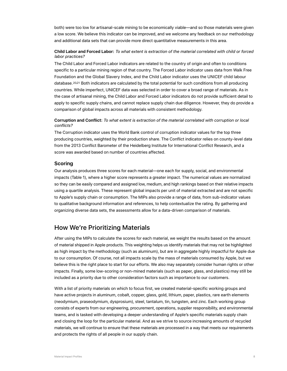both) were too low for artisanal-scale mining to be economically viable—and so those materials were given a low score. We believe this indicator can be improved, and we welcome any feedback on our methodology and additional data sets that can provide more direct quantitative measurements in this area.

### **Child Labor and Forced Labor:** *To what extent is extraction of the material correlated with child or forced labor practices?*

<span id="page-7-1"></span><span id="page-7-0"></span>The Child Labor and Forced Labor indicators are related to the country of origin and often to conditions specific to a particular mining region of that country. The Forced Labor indicator uses data from Walk Free Foundation and the Global Slavery Index, and the Child Labor indicator uses the UNICEF child labour database.  $20,21$  $20,21$  $20,21$  [B](#page-17-0)oth indicators are calculated by the total potential for such conditions from all producing countries. While imperfect, UNICEF data was selected in order to cover a broad range of materials. As in the case of artisanal mining, the Child Labor and Forced Labor indicators do not provide sufficient detail to apply to specific supply chains, and cannot replace supply chain due diligence. However, they do provide a comparison of global impacts across all materials with consistent methodology.

## **Corruption and Conflict:** *To what extent is extraction of the material correlated with corruption or local conflicts?*

The Corruption indicator uses the World Bank control of corruption indicator values for the top three producing countries, weighted by their production share. The Conflict indicator relies on county-level data from the 2013 Conflict Barometer of the Heidelberg Institute for International Conflict Research, and a score was awarded based on number of countries affected.

## **Scoring**

Our analysis produces three scores for each material—one each for supply, social, and environmental impacts (Table 1), where a higher score represents a greater impact. The numerical values are normalized so they can be easily compared and assigned low, medium, and high rankings based on their relative impacts using a quartile analysis. These represent global impacts per unit of material extracted and are not specific to Apple's supply chain or consumption. The MIPs also provide a range of data, from sub-indicator values to qualitative background information and references, to help contextualize the rating. By gathering and organizing diverse data sets, the assessments allow for a data-driven comparison of materials.

# How We're Prioritizing Materials

After using the MIPs to calculate the scores for each material, we weight the results based on the amount of material shipped in Apple products. This weighting helps us identify materials that may not be highlighted as high impact by the methodology (such as aluminum), but are in aggregate highly impactful for Apple due to our consumption. Of course, not all impacts scale by the mass of materials consumed by Apple, but we believe this is the right place to start for our efforts. We also may separately consider human rights or other impacts. Finally, some low-scoring or non-mined materials (such as paper, glass, and plastics) may still be included as a priority due to other consideration factors such as importance to our customers.

With a list of priority materials on which to focus first, we created material-specific working groups and have active projects in aluminum, cobalt, copper, glass, gold, lithium, paper, plastics, rare earth elements (neodymium, praseodymium, dysprosium), steel, tantalum, tin, tungsten, and zinc. Each working group consists of experts from our engineering, procurement, operations, supplier responsibility, and environmental teams, and is tasked with developing a deeper understanding of Apple's specific materials supply chain and closing the loop for the particular material. And as we strive to source increasing amounts of recycled materials, we will continue to ensure that these materials are processed in a way that meets our requirements and protects the rights of all people in our supply chain.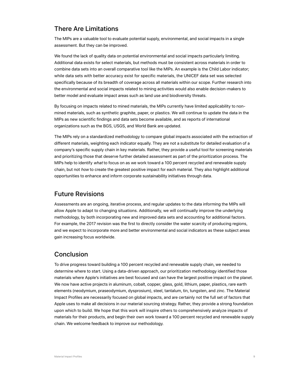# There Are Limitations

The MIPs are a valuable tool to evaluate potential supply, environmental, and social impacts in a single assessment. But they can be improved.

We found the lack of quality data on potential environmental and social impacts particularly limiting. Additional data exists for select materials, but methods must be consistent across materials in order to combine data sets into an overall comparative tool like the MIPs. An example is the Child Labor indicator; while data sets with better accuracy exist for specific materials, the UNICEF data set was selected specifically because of its breadth of coverage across all materials within our scope. Further research into the environmental and social impacts related to mining activities would also enable decision-makers to better model and evaluate impact areas such as land use and biodiversity threats.

By focusing on impacts related to mined materials, the MIPs currently have limited applicability to nonmined materials, such as synthetic graphite, paper, or plastics. We will continue to update the data in the MIPs as new scientific findings and data sets become available, and as reports of international organizations such as the BGS, USGS, and World Bank are updated.

The MIPs rely on a standardized methodology to compare global impacts associated with the extraction of different materials, weighting each indicator equally. They are not a substitute for detailed evaluation of a company's specific supply chain in key materials. Rather, they provide a useful tool for screening materials and prioritizing those that deserve further detailed assessment as part of the prioritization process. The MIPs help to identify *what* to focus on as we work toward a 100 percent recycled and renewable supply chain, but not *how* to create the greatest positive impact for each material. They also highlight additional opportunities to enhance and inform corporate sustainability initiatives through data.

# Future Revisions

Assessments are an ongoing, iterative process, and regular updates to the data informing the MIPs will allow Apple to adapt to changing situations. Additionally, we will continually improve the underlying methodology, by both incorporating new and improved data sets and accounting for additional factors. For example, the 2017 revision was the first to directly consider the water scarcity of producing regions, and we expect to incorporate more and better environmental and social indicators as these subject areas gain increasing focus worldwide.

# **Conclusion**

To drive progress toward building a 100 percent recycled and renewable supply chain, we needed to determine where to start. Using a data-driven approach, our prioritization methodology identified those materials where Apple's initiatives are best focused and can have the largest positive impact on the planet. We now have active projects in aluminum, cobalt, copper, glass, gold, lithium, paper, plastics, rare earth elements (neodymium, praseodymium, dysprosium), steel, tantalum, tin, tungsten, and zinc. The Material Impact Profiles are necessarily focused on global impacts, and are certainly not the full set of factors that Apple uses to make all decisions in our material sourcing strategy. Rather, they provide a strong foundation upon which to build. We hope that this work will inspire others to comprehensively analyze impacts of materials for their products, and begin their own work toward a 100 percent recycled and renewable supply chain. We welcome feedback to improve our methodology.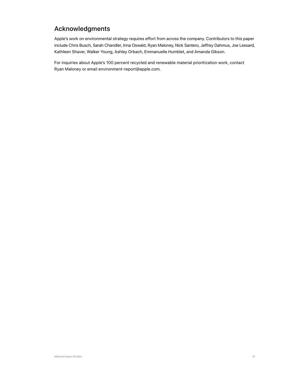# Acknowledgments

Apple's work on environmental strategy requires effort from across the company. Contributors to this paper include Chris Busch, Sarah Chandler, Irina Oswald, Ryan Maloney, Nick Santero, Jeffrey Dahmus, Joe Lessard, Kathleen Shaver, Walker Young, Ashley Orbach, Emmanuelle Humblet, and Amanda Gibson.

For inquiries about Apple's 100 percent recycled and renewable material prioritization work, contact Ryan Maloney or email environment-report@apple.com.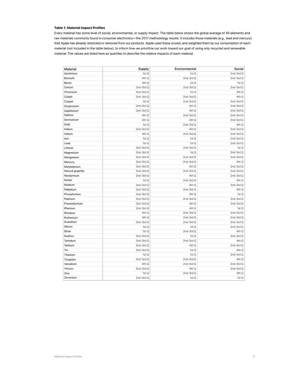#### **Table 1: Material Impact Profiles**

Every material has some level of social, environmental, or supply impact. The table below shows the global average of 45 elements and raw materials commonly found in consumer electronics—the 2017 methodology results. It includes those materials (e.g., lead and mercury) that Apple has already restricted or removed from our products. Apple used these scores, and weighted them by our consumption of each material (not included in the table below), to inform how we prioritize our work toward our goal of using only recycled and renewable material. The values are listed here as quartiles to describe the relative impacts of each material.

| Material         | Supply     | Environmental | Social     |
|------------------|------------|---------------|------------|
| Aluminium        | 1st Q      | 1st Q         | 2nd-3rd Q  |
| Bismuth          | 4th Q      | 2nd-3rd Q     | 2nd-3rd Q  |
| Boron            | 4th Q      | 1st Q         | 1st Q      |
| Cerium           | 2nd-3rd Q  | $2nd-3rdQ$    | 2nd-3rd Q  |
| Chromium         | 2nd-3rd Q  | 1st Q         | 4th Q      |
| Cobalt           | 2nd-3rd Q  | $2nd-3rdQ$    | 4th Q      |
| Copper           | 1st Q      | 2nd-3rd Q     | 2nd-3rd Q  |
| Dysprosium       | 2nd-3rd Q  | 4th Q         | 2nd-3rd Q  |
| Gadolinium       | 2nd-3rd Q  | 4th Q         | 2nd-3rd Q  |
| Gallium          | 4th Q      | 2nd-3rd Q     | 2nd-3rd Q  |
| Germanium        | 4th Q      | 4th Q         | 2nd-3rd Q  |
| Gold             | 1st Q      | 2nd-3rd Q     | 4th Q      |
| Indium           | 2nd-3rd Q  | 4th Q         | $2nd-3rdQ$ |
| Iridium          | 4th Q      | 2nd-3rd Q     | 2nd-3rd Q  |
| Iron             | 1st Q      | 1st Q         | 2nd-3rd Q  |
| Lead             | 1st Q      | 1st Q         | 2nd-3rd Q  |
| Lithium          | $2nd-3rdQ$ | $2nd-3rdQ$    | 1st Q      |
| Magnesium        | 2nd-3rd Q  | 1st Q         | 2nd-3rd Q  |
| Manganese        | 2nd-3rd Q  | 2nd-3rd Q     | 2nd-3rd Q  |
| Mercury          | 2nd-3rd Q  | 2nd-3rd Q     | 4th Q      |
| Molybdenum       | 2nd-3rd Q  | 4th Q         | 2nd-3rd Q  |
| Natural graphite | 2nd-3rd Q  | 2nd-3rd Q     | 2nd-3rd Q  |
| Neodymium        | 2nd-3rd Q  | 4th Q         | 2nd-3rd Q  |
| Nickel           | 1st Q      | $2nd-3rdQ$    | 4th Q      |
| Niobium          | $2nd-3rdQ$ | 4th Q         | $2nd-3rdQ$ |
| Palladium        | 2nd-3rd Q  | 2nd-3rd Q     | 4th Q      |
| Phosphorous      | 2nd-3rd Q  | 4th Q         | 1st Q      |
| Platinum         | 2nd-3rd Q  | 2nd-3rd Q     | 2nd-3rd Q  |
| Praseodymium     | 2nd-3rd Q  | 4th Q         | 2nd-3rd Q  |
| Rhenium          | 2nd-3rd Q  | 4th Q         | 1st Q      |
| Rhodium          | 4th Q      | 2nd-3rd Q     | 2nd-3rd Q  |
| Ruthenium        | 4th Q      | 2nd-3rd Q     | 2nd-3rd Q  |
| Scandium         | $2nd-3rdQ$ | 2nd-3rd Q     | 2nd-3rd Q  |
| Silicon          | 1st Q      | 1st Q         | $2nd-3rdQ$ |
| Silver           | 1st Q      | 2nd-3rd Q     | 4th Q      |
| Sulphur          | $2nd-3rdQ$ | 1st Q         | 2nd-3rd Q  |
| Tantalum         | 2nd-3rd Q  | 2nd-3rd Q     | 4th Q      |
| Terbium          | 2nd-3rd Q  | 4th Q         | 2nd-3rd Q  |
| Tin              | 2nd-3rd Q  | 1st Q         | 4th Q      |
| Titanium         | 1st Q      | 1st Q         | 2nd-3rd Q  |
| Tungsten         | $2nd-3rdQ$ | 2nd-3rd Q     | 4th Q      |
| Vanadium         | 4th Q      | 2nd-3rd Q     | 2nd-3rd Q  |
| Yttrium          | 2nd-3rd Q  | 4th Q         | 2nd-3rd Q  |
| Zinc             | 1st Q      | 2nd-3rd Q     | 4th Q      |
| Zirconium        | 2nd-3rd Q  | 1st Q         | 1st Q      |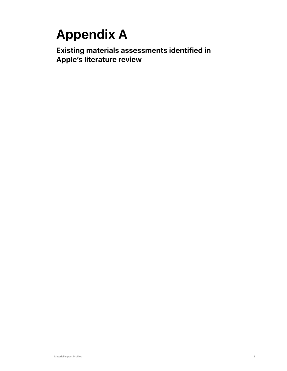# <span id="page-11-0"></span>**Appendix A**

**Existing materials assessments identified in Apple's literature review**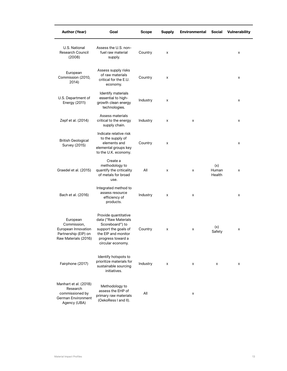| <b>Author (Year)</b>                                                                           | Goal                                                                                                                                                     | <b>Scope</b> | <b>Supply</b> | <b>Environmental</b> | Social                 | <b>Vulnerability</b> |
|------------------------------------------------------------------------------------------------|----------------------------------------------------------------------------------------------------------------------------------------------------------|--------------|---------------|----------------------|------------------------|----------------------|
| U.S. National<br>Research Council<br>(2008)                                                    | Assess the U.S. non-<br>fuel raw material<br>supply.                                                                                                     | Country      | x             |                      |                        | x                    |
| European<br>Commission (2010,<br>2014)                                                         | Assess supply risks<br>of raw materials<br>critical for the E.U.<br>economy.                                                                             | Country      | x             |                      |                        | x                    |
| U.S. Department of<br>Energy (2011)                                                            | Identify materials<br>essential to high-<br>growth clean energy<br>technologies.                                                                         | Industry     | x             |                      |                        | x                    |
| Zepf et al. (2014)                                                                             | Assess materials<br>critical to the energy<br>supply chain.                                                                                              | Industry     | x             | x                    |                        | x                    |
| <b>British Geological</b><br><b>Survey (2015)</b>                                              | Indicate relative risk<br>to the supply of<br>elements and<br>elemental groups key<br>to the U.K. economy.                                               | Country      | x             |                      |                        | x                    |
| Graedel et al. (2015)                                                                          | Create a<br>methodology to<br>quantify the criticality<br>of metals for broad<br>use.                                                                    | All          | x             | x                    | (x)<br>Human<br>Health | x                    |
| Bach et al. (2016)                                                                             | Integrated method to<br>assess resource<br>efficiency of<br>products.                                                                                    | Industry     | x             | X                    |                        | x                    |
| European<br>Commission,<br>European Innovation<br>Partnership (EIP) on<br>Raw Materials (2016) | Provide quantitative<br>data ("Raw Materials<br>Scoreboard") to<br>support the goals of<br>the EIP and monitor<br>progress toward a<br>circular economy. | Country      | x             | x                    | (x)<br>Safety          | x                    |
| Fairphone (2017)                                                                               | Identify hotspots to<br>prioritize materials for<br>sustainable sourcing<br>initiatives.                                                                 | Industry     | x             | x                    | x                      | x                    |
| Manhart et al. (2018)<br>Research<br>commissioned by<br>German Environment<br>Agency (UBA)     | Methodology to<br>assess the EHP of<br>primary raw materials<br>(OekoRess I and II).                                                                     | All          |               | x                    |                        |                      |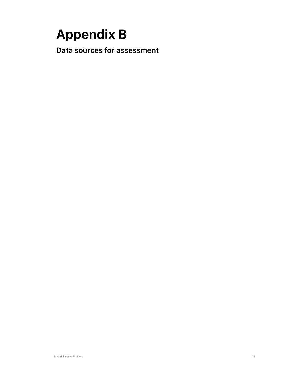# <span id="page-13-0"></span>**Appendix B**

**Data sources for assessment**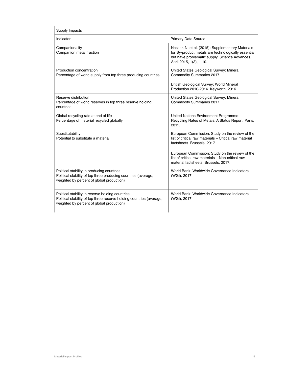| Supply Impacts                                                                                                                                                        |                                                                                                                                                                                                                                                                                          |  |  |  |  |  |  |
|-----------------------------------------------------------------------------------------------------------------------------------------------------------------------|------------------------------------------------------------------------------------------------------------------------------------------------------------------------------------------------------------------------------------------------------------------------------------------|--|--|--|--|--|--|
| Indicator                                                                                                                                                             | <b>Primary Data Source</b>                                                                                                                                                                                                                                                               |  |  |  |  |  |  |
| Companionality<br>Companion metal fraction                                                                                                                            | Nassar, N. et al. (2015): Supplementary Materials<br>for By-product metals are technologically essential<br>but have problematic supply. Science Advances,<br>April 2015, 1(3), 1-10.                                                                                                    |  |  |  |  |  |  |
| Production concentration<br>Percentage of world supply from top three producing countries                                                                             | United States Geological Survey: Mineral<br>Commodity Summaries 2017.<br>British Geological Survey: World Mineral<br>Production 2010-2014. Keyworth, 2016.                                                                                                                               |  |  |  |  |  |  |
| Reserve distribution<br>Percentage of world reserves in top three reserve holding<br>countries                                                                        | United States Geological Survey: Mineral<br>Commodity Summaries 2017.                                                                                                                                                                                                                    |  |  |  |  |  |  |
| Global recycling rate at end of life<br>Percentage of material recycled globally                                                                                      | United Nations Environment Programme:<br>Recycling Rates of Metals. A Status Report. Paris,<br>2011.                                                                                                                                                                                     |  |  |  |  |  |  |
| Substitutability<br>Potential to substitute a material                                                                                                                | European Commission: Study on the review of the<br>list of critical raw materials - Critical raw material<br>factsheets. Brussels, 2017.<br>European Commission: Study on the review of the<br>list of critical raw materials - Non-critical raw<br>material factsheets. Brussels, 2017. |  |  |  |  |  |  |
| Political stability in producing countries<br>Political stability of top three producing countries (average,<br>weighted by percent of global production)             | World Bank: Worldwide Governance Indicators<br>(WGI), 2017.                                                                                                                                                                                                                              |  |  |  |  |  |  |
| Political stability in reserve holding countries<br>Political stability of top three reserve holding countries (average,<br>weighted by percent of global production) | World Bank: Worldwide Governance Indicators<br>(WGI), 2017.                                                                                                                                                                                                                              |  |  |  |  |  |  |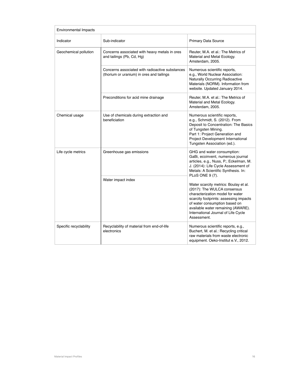| <b>Environmental Impacts</b> |                                                                                              |                                                                                                                                                                                                                                                                                                    |  |  |  |  |  |  |
|------------------------------|----------------------------------------------------------------------------------------------|----------------------------------------------------------------------------------------------------------------------------------------------------------------------------------------------------------------------------------------------------------------------------------------------------|--|--|--|--|--|--|
| Indicator                    | Sub-indicator                                                                                | Primary Data Source                                                                                                                                                                                                                                                                                |  |  |  |  |  |  |
| Geochemical pollution        | Concerns associated with heavy metals in ores<br>and tailings (Pb, Cd, Hg)                   | Reuter, M.A. et al.: The Metrics of<br>Material and Metal Ecology.<br>Amsterdam, 2005.                                                                                                                                                                                                             |  |  |  |  |  |  |
|                              | Concerns associated with radioactive substances<br>(thorium or uranium) in ores and tailings | Numerous scientific reports,<br>e.g., World Nuclear Association:<br>Naturally Occurring Radioactive<br>Materials (NORM). Information from<br>website. Updated January 2014.                                                                                                                        |  |  |  |  |  |  |
|                              | Preconditions for acid mine drainage                                                         | Reuter, M.A. et al.: The Metrics of<br>Material and Metal Ecology.<br>Amsterdam, 2005.                                                                                                                                                                                                             |  |  |  |  |  |  |
| Chemical usage               | Use of chemicals during extraction and<br>beneficiation                                      | Numerous scientific reports,<br>e.g., Schmidt, S. (2012). From<br>Deposit to Concentration: The Basics<br>of Tungsten Mining.<br>Part 1: Project Generation and<br>Project Development International<br>Tungsten Association (ed.).                                                                |  |  |  |  |  |  |
| Life cycle metrics           | Greenhouse gas emissions                                                                     | GHG and water consumption:<br>GaBi, ecoinvent, numerous journal<br>articles, e.g., Nuss, P.; Eckelman, M.<br>J. (2014): Life Cycle Assessment of<br>Metals: A Scientific Synthesis. In:                                                                                                            |  |  |  |  |  |  |
|                              | Water impact index                                                                           | PLoS ONE 9 (7).<br>Water scarcity metrics: Boulay et al.<br>(2017): The WULCA consensus<br>characterization model for water<br>scarcity footprints: assessing impacts<br>of water consumption based on<br>available water remaining (AWARE).<br>International Journal of Life Cycle<br>Assessment. |  |  |  |  |  |  |
| Specific recyclability       | Recyclability of material from end-of-life<br>electronics                                    | Numerous scientific reports, e.g.,<br>Buchert, M. et al.: Recycling critical<br>raw materials from waste electronic<br>equipment. Oeko-Institut e.V., 2012.                                                                                                                                        |  |  |  |  |  |  |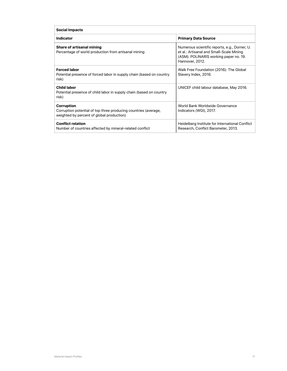| <b>Social Impacts</b>                                                                                                             |                                                                                                                                                        |  |  |  |  |  |  |
|-----------------------------------------------------------------------------------------------------------------------------------|--------------------------------------------------------------------------------------------------------------------------------------------------------|--|--|--|--|--|--|
| Indicator                                                                                                                         | <b>Primary Data Source</b>                                                                                                                             |  |  |  |  |  |  |
| <b>Share of artisanal mining</b><br>Percentage of world production from artisanal mining                                          | Numerous scientific reports, e.g., Dorner, U.<br>et al.: Artisanal and Small-Scale Mining<br>(ASM). POLINARIS working paper no. 19.<br>Hannover, 2012. |  |  |  |  |  |  |
| <b>Forced labor</b><br>Potential presence of forced labor in supply chain (based on country<br>risk)                              | Walk Free Foundation (2016): The Global<br>Slavery Index, 2016.                                                                                        |  |  |  |  |  |  |
| <b>Child labor</b><br>Potential presence of child labor in supply chain (based on country<br>risk)                                | UNICEF child labour database, May 2016.                                                                                                                |  |  |  |  |  |  |
| <b>Corruption</b><br>Corruption potential of top three producing countries (average,<br>weighted by percent of global production) | World Bank Worldwide Governance<br>Indicators (WGI), 2017.                                                                                             |  |  |  |  |  |  |
| <b>Conflict relation</b><br>Number of countries affected by mineral-related conflict                                              | Heidelberg Institute for International Conflict<br>Research, Conflict Barometer, 2013.                                                                 |  |  |  |  |  |  |